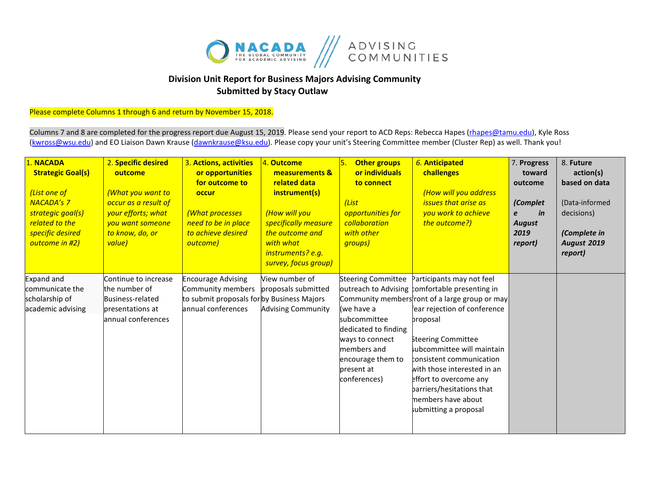

## **Division Unit Report for Business Majors Advising Community Submitted by Stacy Outlaw**

Please complete Columns 1 through 6 and return by November 15, 2018.

Columns 7 and 8 are completed for the progress report due August 15, 2019. Please send your report to ACD Reps: Rebecca Hapes (*rhapes@tamu.edu*), Kyle Ross [\(kwross@wsu.edu\)](mailto:kwross@wsu.edu) and EO Liaison Dawn Krause (dawnkrause@ksu.edu). Please copy your unit's Steering Committee member (Cluster Rep) as well. Thank you!

| 1. NACADA<br><b>Strategic Goal(s)</b><br>(List one of<br><b>NACADA's 7</b><br>strategic goal(s)<br>related to the<br>specific desired<br>outcome in #2) | 2. Specific desired<br>outcome<br>(What you want to<br>occur as a result of<br>your efforts; what<br>you want someone<br>to know, do, or<br>value) | 3. Actions, activities<br>or opportunities<br>for outcome to<br>occur<br>(What processes<br>need to be in place<br>to achieve desired<br>outcome) | 4. Outcome<br>measurements &<br>related data<br>instrument(s)<br>(How will you<br>specifically measure<br>the outcome and<br>with what<br>instruments? e.g.<br>survey, focus group) | 5.<br><b>Other groups</b><br>or individuals<br>to connect<br>(List<br>opportunities for<br>collaboration<br>with other<br>groups)                                    | 6. Anticipated<br>challenges<br>(How will you address<br><i><b>issues that arise as</b></i><br>you work to achieve<br>the outcome?)                                                                                                                                                                                                                                                           | 7. Progress<br>toward<br>outcome<br>(Complet<br>in<br>e<br><b>August</b><br>2019<br>report) | 8. Future<br>action(s)<br>based on data<br>(Data-informed<br>decisions)<br>(Complete in<br><b>August 2019</b><br>report) |
|---------------------------------------------------------------------------------------------------------------------------------------------------------|----------------------------------------------------------------------------------------------------------------------------------------------------|---------------------------------------------------------------------------------------------------------------------------------------------------|-------------------------------------------------------------------------------------------------------------------------------------------------------------------------------------|----------------------------------------------------------------------------------------------------------------------------------------------------------------------|-----------------------------------------------------------------------------------------------------------------------------------------------------------------------------------------------------------------------------------------------------------------------------------------------------------------------------------------------------------------------------------------------|---------------------------------------------------------------------------------------------|--------------------------------------------------------------------------------------------------------------------------|
| <b>Expand and</b><br>communicate the<br>scholarship of<br>academic advising                                                                             | Continue to increase<br>the number of<br><b>Business-related</b><br>presentations at<br>annual conferences                                         | <b>Encourage Advising</b><br>Community members<br>to submit proposals for by Business Majors<br>lannual conferences                               | View number of<br>proposals submitted<br><b>Advising Community</b>                                                                                                                  | <b>Steering Committee</b><br>(we have a<br>subcommittee<br>dedicated to finding<br>ways to connect<br>members and<br>encourage them to<br>present at<br>conferences) | Participants may not feel<br>outreach to Advising comfortable presenting in<br>Community membersfront of a large group or may<br>ear rejection of conference<br>proposal<br>Steering Committee<br>subcommittee will maintain<br>consistent communication<br>with those interested in an<br>effort to overcome any<br>parriers/hesitations that<br>members have about<br>submitting a proposal |                                                                                             |                                                                                                                          |